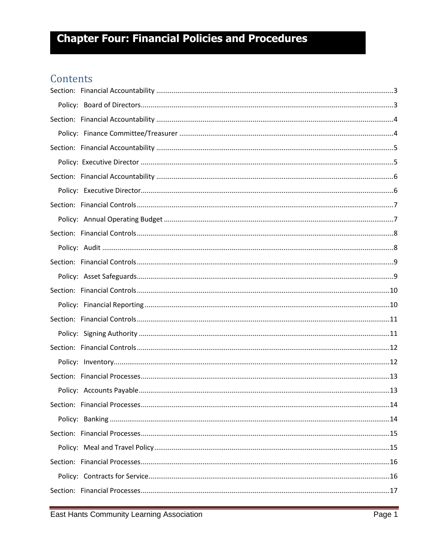### Contents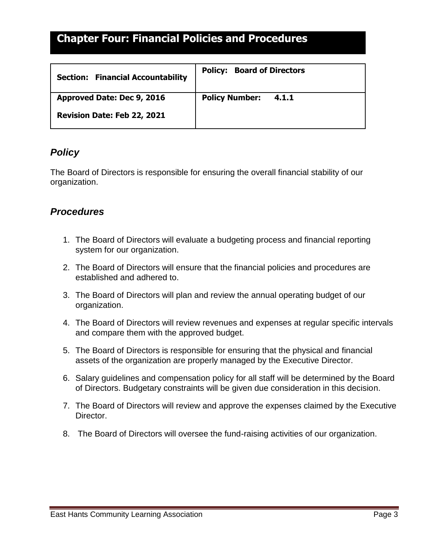<span id="page-2-1"></span><span id="page-2-0"></span>

| <b>Section: Financial Accountability</b> | <b>Policy: Board of Directors</b> |
|------------------------------------------|-----------------------------------|
| Approved Date: Dec 9, 2016               | <b>Policy Number:</b><br>4.1.1    |
| Revision Date: Feb 22, 2021              |                                   |

#### *Policy*

The Board of Directors is responsible for ensuring the overall financial stability of our organization.

- 1. The Board of Directors will evaluate a budgeting process and financial reporting system for our organization.
- 2. The Board of Directors will ensure that the financial policies and procedures are established and adhered to.
- 3. The Board of Directors will plan and review the annual operating budget of our organization.
- 4. The Board of Directors will review revenues and expenses at regular specific intervals and compare them with the approved budget.
- 5. The Board of Directors is responsible for ensuring that the physical and financial assets of the organization are properly managed by the Executive Director.
- 6. Salary guidelines and compensation policy for all staff will be determined by the Board of Directors. Budgetary constraints will be given due consideration in this decision.
- 7. The Board of Directors will review and approve the expenses claimed by the Executive Director.
- 8. The Board of Directors will oversee the fund-raising activities of our organization.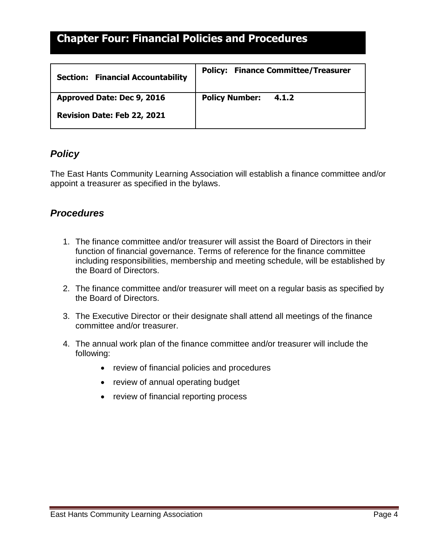<span id="page-3-1"></span><span id="page-3-0"></span>

| <b>Section: Financial Accountability</b> | <b>Policy: Finance Committee/Treasurer</b> |
|------------------------------------------|--------------------------------------------|
| Approved Date: Dec 9, 2016               | <b>Policy Number:</b><br>4.1.2             |
| Revision Date: Feb 22, 2021              |                                            |

#### *Policy*

The East Hants Community Learning Association will establish a finance committee and/or appoint a treasurer as specified in the bylaws.

- 1. The finance committee and/or treasurer will assist the Board of Directors in their function of financial governance. Terms of reference for the finance committee including responsibilities, membership and meeting schedule, will be established by the Board of Directors.
- 2. The finance committee and/or treasurer will meet on a regular basis as specified by the Board of Directors.
- 3. The Executive Director or their designate shall attend all meetings of the finance committee and/or treasurer.
- 4. The annual work plan of the finance committee and/or treasurer will include the following:
	- review of financial policies and procedures
	- review of annual operating budget
	- review of financial reporting process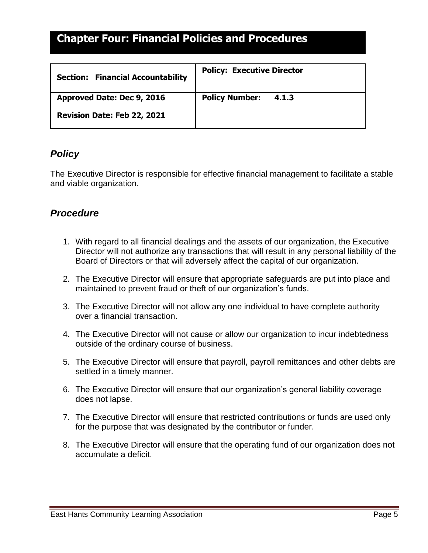<span id="page-4-1"></span><span id="page-4-0"></span>

| <b>Section: Financial Accountability</b> | <b>Policy: Executive Director</b> |
|------------------------------------------|-----------------------------------|
| Approved Date: Dec 9, 2016               | <b>Policy Number:</b><br>4.1.3    |
| Revision Date: Feb 22, 2021              |                                   |

#### *Policy*

The Executive Director is responsible for effective financial management to facilitate a stable and viable organization.

- 1. With regard to all financial dealings and the assets of our organization, the Executive Director will not authorize any transactions that will result in any personal liability of the Board of Directors or that will adversely affect the capital of our organization.
- 2. The Executive Director will ensure that appropriate safeguards are put into place and maintained to prevent fraud or theft of our organization's funds.
- 3. The Executive Director will not allow any one individual to have complete authority over a financial transaction.
- 4. The Executive Director will not cause or allow our organization to incur indebtedness outside of the ordinary course of business.
- 5. The Executive Director will ensure that payroll, payroll remittances and other debts are settled in a timely manner.
- 6. The Executive Director will ensure that our organization's general liability coverage does not lapse.
- 7. The Executive Director will ensure that restricted contributions or funds are used only for the purpose that was designated by the contributor or funder.
- 8. The Executive Director will ensure that the operating fund of our organization does not accumulate a deficit.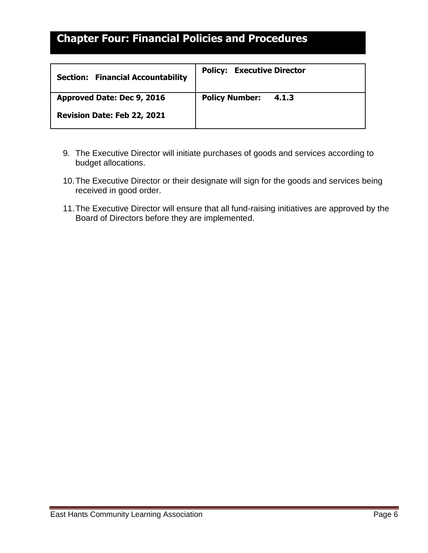<span id="page-5-1"></span><span id="page-5-0"></span>

| <b>Section: Financial Accountability</b> | <b>Policy: Executive Director</b> |
|------------------------------------------|-----------------------------------|
| Approved Date: Dec 9, 2016               | <b>Policy Number:</b><br>4.1.3    |
| Revision Date: Feb 22, 2021              |                                   |

- 9. The Executive Director will initiate purchases of goods and services according to budget allocations.
- 10.The Executive Director or their designate will sign for the goods and services being received in good order.
- 11.The Executive Director will ensure that all fund-raising initiatives are approved by the Board of Directors before they are implemented.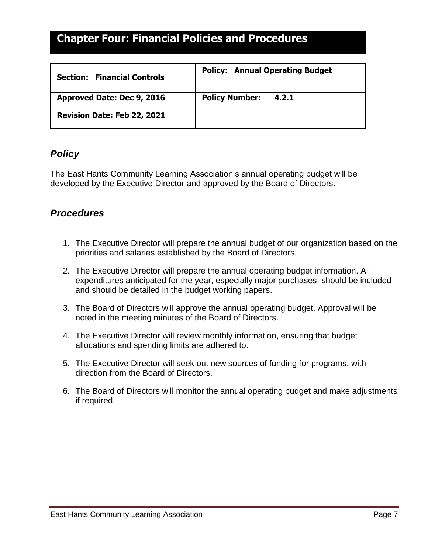<span id="page-6-1"></span><span id="page-6-0"></span>

| <b>Financial Controls</b><br><b>Section:</b> | <b>Policy: Annual Operating Budget</b> |
|----------------------------------------------|----------------------------------------|
| Approved Date: Dec 9, 2016                   | <b>Policy Number:</b><br>4.2.1         |
| Revision Date: Feb 22, 2021                  |                                        |

#### *Policy*

The East Hants Community Learning Association's annual operating budget will be developed by the Executive Director and approved by the Board of Directors.

- 1. The Executive Director will prepare the annual budget of our organization based on the priorities and salaries established by the Board of Directors.
- 2. The Executive Director will prepare the annual operating budget information. All expenditures anticipated for the year, especially major purchases, should be included and should be detailed in the budget working papers.
- 3. The Board of Directors will approve the annual operating budget. Approval will be noted in the meeting minutes of the Board of Directors.
- 4. The Executive Director will review monthly information, ensuring that budget allocations and spending limits are adhered to.
- 5. The Executive Director will seek out new sources of funding for programs, with direction from the Board of Directors.
- 6. The Board of Directors will monitor the annual operating budget and make adjustments if required.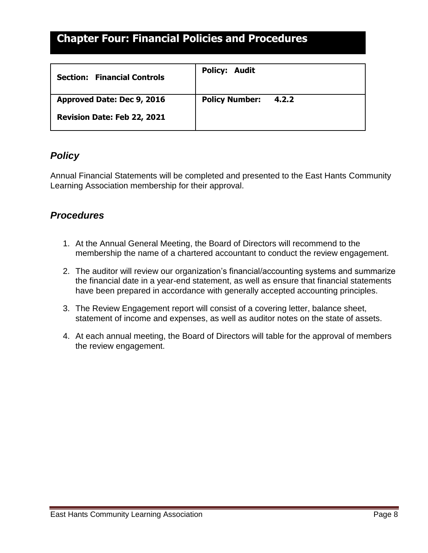<span id="page-7-1"></span><span id="page-7-0"></span>

| <b>Financial Controls</b><br><b>Section:</b> | <b>Policy: Audit</b>           |
|----------------------------------------------|--------------------------------|
| Approved Date: Dec 9, 2016                   | <b>Policy Number:</b><br>4.2.2 |
| Revision Date: Feb 22, 2021                  |                                |

#### *Policy*

Annual Financial Statements will be completed and presented to the East Hants Community Learning Association membership for their approval.

- 1. At the Annual General Meeting, the Board of Directors will recommend to the membership the name of a chartered accountant to conduct the review engagement.
- 2. The auditor will review our organization's financial/accounting systems and summarize the financial date in a year-end statement, as well as ensure that financial statements have been prepared in accordance with generally accepted accounting principles.
- 3. The Review Engagement report will consist of a covering letter, balance sheet, statement of income and expenses, as well as auditor notes on the state of assets.
- 4. At each annual meeting, the Board of Directors will table for the approval of members the review engagement.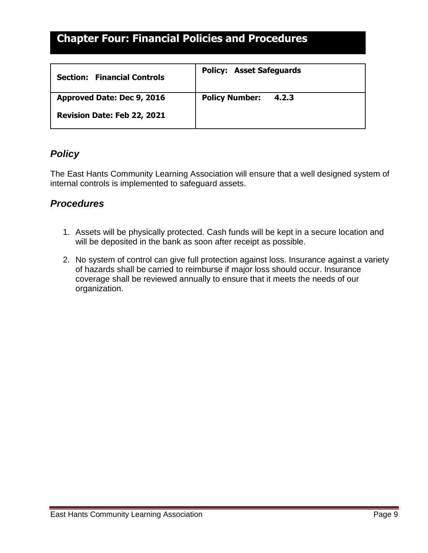<span id="page-8-1"></span><span id="page-8-0"></span>

| <b>Financial Controls</b><br><b>Section:</b> | <b>Policy: Asset Safeguards</b> |
|----------------------------------------------|---------------------------------|
| Approved Date: Dec 9, 2016                   | <b>Policy Number:</b><br>4.2.3  |
| Revision Date: Feb 22, 2021                  |                                 |

#### *Policy*

The East Hants Community Learning Association will ensure that a well designed system of internal controls is implemented to safeguard assets.

- 1. Assets will be physically protected. Cash funds will be kept in a secure location and will be deposited in the bank as soon after receipt as possible.
- 2. No system of control can give full protection against loss. Insurance against a variety of hazards shall be carried to reimburse if major loss should occur. Insurance coverage shall be reviewed annually to ensure that it meets the needs of our organization.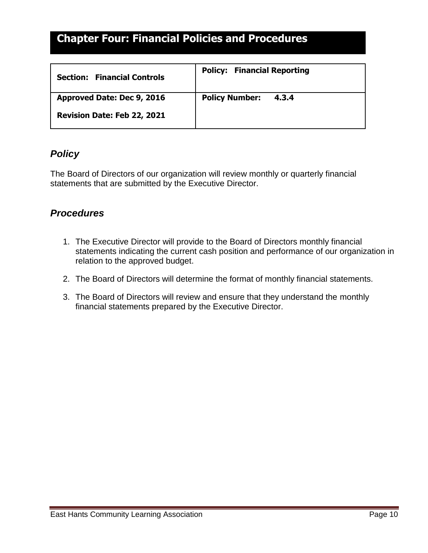<span id="page-9-1"></span><span id="page-9-0"></span>

| <b>Financial Controls</b><br><b>Section:</b> | <b>Policy: Financial Reporting</b> |
|----------------------------------------------|------------------------------------|
| Approved Date: Dec 9, 2016                   | <b>Policy Number:</b><br>4.3.4     |
| Revision Date: Feb 22, 2021                  |                                    |

#### *Policy*

The Board of Directors of our organization will review monthly or quarterly financial statements that are submitted by the Executive Director.

- 1. The Executive Director will provide to the Board of Directors monthly financial statements indicating the current cash position and performance of our organization in relation to the approved budget.
- 2. The Board of Directors will determine the format of monthly financial statements.
- 3. The Board of Directors will review and ensure that they understand the monthly financial statements prepared by the Executive Director.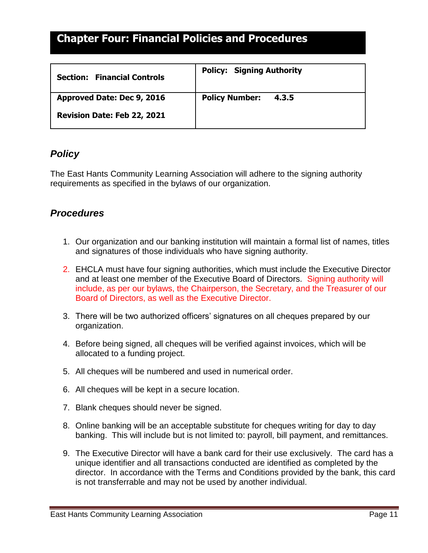<span id="page-10-1"></span><span id="page-10-0"></span>

| <b>Financial Controls</b><br><b>Section:</b> | <b>Policy: Signing Authority</b> |
|----------------------------------------------|----------------------------------|
| Approved Date: Dec 9, 2016                   | <b>Policy Number:</b><br>4.3.5   |
| Revision Date: Feb 22, 2021                  |                                  |

#### *Policy*

The East Hants Community Learning Association will adhere to the signing authority requirements as specified in the bylaws of our organization.

- 1. Our organization and our banking institution will maintain a formal list of names, titles and signatures of those individuals who have signing authority.
- 2. EHCLA must have four signing authorities, which must include the Executive Director and at least one member of the Executive Board of Directors. Signing authority will include, as per our bylaws, the Chairperson, the Secretary, and the Treasurer of our Board of Directors, as well as the Executive Director.
- 3. There will be two authorized officers' signatures on all cheques prepared by our organization.
- 4. Before being signed, all cheques will be verified against invoices, which will be allocated to a funding project.
- 5. All cheques will be numbered and used in numerical order.
- 6. All cheques will be kept in a secure location.
- 7. Blank cheques should never be signed.
- 8. Online banking will be an acceptable substitute for cheques writing for day to day banking. This will include but is not limited to: payroll, bill payment, and remittances.
- 9. The Executive Director will have a bank card for their use exclusively. The card has a unique identifier and all transactions conducted are identified as completed by the director. In accordance with the Terms and Conditions provided by the bank, this card is not transferrable and may not be used by another individual.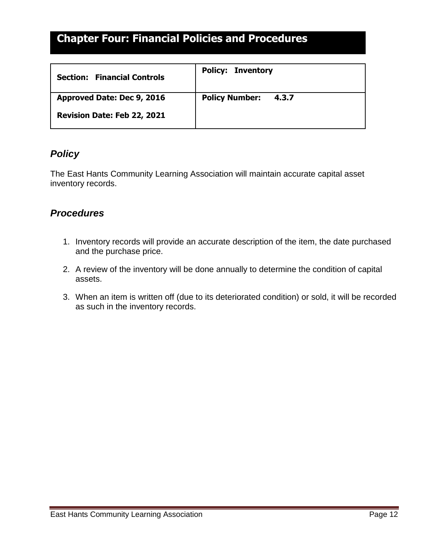<span id="page-11-1"></span><span id="page-11-0"></span>

| <b>Financial Controls</b><br><b>Section:</b> | <b>Policy: Inventory</b>       |
|----------------------------------------------|--------------------------------|
| Approved Date: Dec 9, 2016                   | <b>Policy Number:</b><br>4.3.7 |
| Revision Date: Feb 22, 2021                  |                                |

#### *Policy*

The East Hants Community Learning Association will maintain accurate capital asset inventory records.

- 1. Inventory records will provide an accurate description of the item, the date purchased and the purchase price.
- 2. A review of the inventory will be done annually to determine the condition of capital assets.
- 3. When an item is written off (due to its deteriorated condition) or sold, it will be recorded as such in the inventory records.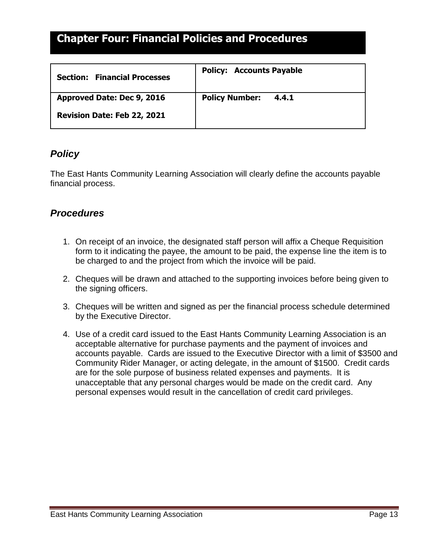<span id="page-12-1"></span><span id="page-12-0"></span>

| <b>Financial Processes</b><br><b>Section:</b> | <b>Policy: Accounts Payable</b> |
|-----------------------------------------------|---------------------------------|
| Approved Date: Dec 9, 2016                    | <b>Policy Number:</b><br>4.4.1  |
| Revision Date: Feb 22, 2021                   |                                 |

#### *Policy*

The East Hants Community Learning Association will clearly define the accounts payable financial process.

- 1. On receipt of an invoice, the designated staff person will affix a Cheque Requisition form to it indicating the payee, the amount to be paid, the expense line the item is to be charged to and the project from which the invoice will be paid.
- 2. Cheques will be drawn and attached to the supporting invoices before being given to the signing officers.
- 3. Cheques will be written and signed as per the financial process schedule determined by the Executive Director.
- 4. Use of a credit card issued to the East Hants Community Learning Association is an acceptable alternative for purchase payments and the payment of invoices and accounts payable. Cards are issued to the Executive Director with a limit of \$3500 and Community Rider Manager, or acting delegate, in the amount of \$1500. Credit cards are for the sole purpose of business related expenses and payments. It is unacceptable that any personal charges would be made on the credit card. Any personal expenses would result in the cancellation of credit card privileges.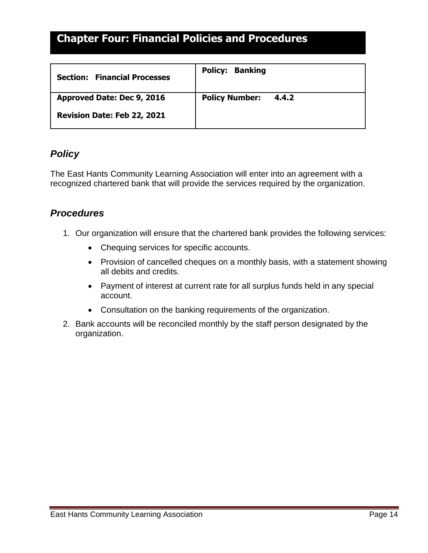<span id="page-13-1"></span><span id="page-13-0"></span>

| <b>Financial Processes</b><br><b>Section:</b> | <b>Policy: Banking</b>         |
|-----------------------------------------------|--------------------------------|
| Approved Date: Dec 9, 2016                    | <b>Policy Number:</b><br>4.4.2 |
| Revision Date: Feb 22, 2021                   |                                |

#### *Policy*

The East Hants Community Learning Association will enter into an agreement with a recognized chartered bank that will provide the services required by the organization.

- 1. Our organization will ensure that the chartered bank provides the following services:
	- Chequing services for specific accounts.
	- Provision of cancelled cheques on a monthly basis, with a statement showing all debits and credits.
	- Payment of interest at current rate for all surplus funds held in any special account.
	- Consultation on the banking requirements of the organization.
- 2. Bank accounts will be reconciled monthly by the staff person designated by the organization.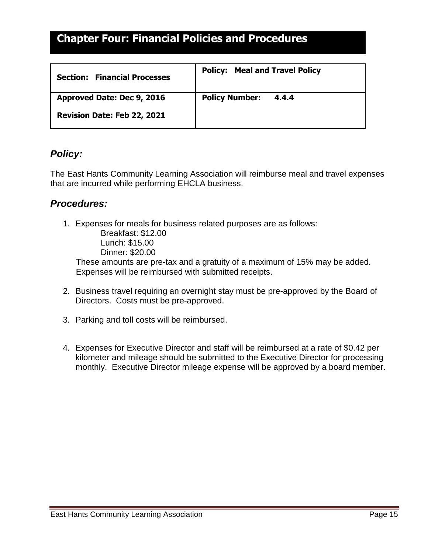<span id="page-14-1"></span><span id="page-14-0"></span>

| <b>Financial Processes</b><br><b>Section:</b> | <b>Policy: Meal and Travel Policy</b> |
|-----------------------------------------------|---------------------------------------|
| Approved Date: Dec 9, 2016                    | <b>Policy Number:</b><br>4.4.4        |
| Revision Date: Feb 22, 2021                   |                                       |

#### *Policy:*

The East Hants Community Learning Association will reimburse meal and travel expenses that are incurred while performing EHCLA business.

#### *Procedures:*

1. Expenses for meals for business related purposes are as follows: Breakfast: \$12.00 Lunch: \$15.00 Dinner: \$20.00

 These amounts are pre-tax and a gratuity of a maximum of 15% may be added. Expenses will be reimbursed with submitted receipts.

- 2. Business travel requiring an overnight stay must be pre-approved by the Board of Directors. Costs must be pre-approved.
- 3. Parking and toll costs will be reimbursed.
- 4. Expenses for Executive Director and staff will be reimbursed at a rate of \$0.42 per kilometer and mileage should be submitted to the Executive Director for processing monthly. Executive Director mileage expense will be approved by a board member.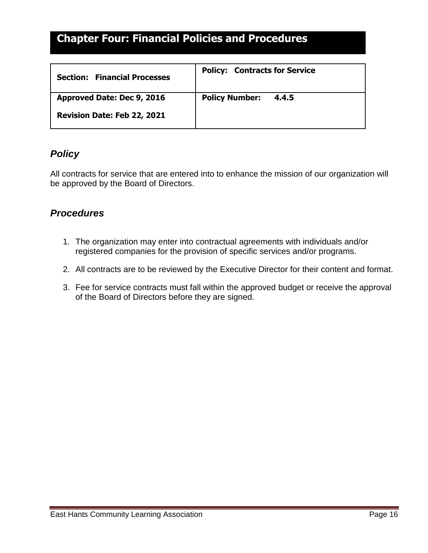<span id="page-15-1"></span><span id="page-15-0"></span>

| <b>Section: Financial Processes</b> | <b>Policy: Contracts for Service</b> |
|-------------------------------------|--------------------------------------|
| Approved Date: Dec 9, 2016          | <b>Policy Number:</b><br>4.4.5       |
| Revision Date: Feb 22, 2021         |                                      |

#### *Policy*

All contracts for service that are entered into to enhance the mission of our organization will be approved by the Board of Directors.

- 1. The organization may enter into contractual agreements with individuals and/or registered companies for the provision of specific services and/or programs.
- 2. All contracts are to be reviewed by the Executive Director for their content and format.
- 3. Fee for service contracts must fall within the approved budget or receive the approval of the Board of Directors before they are signed.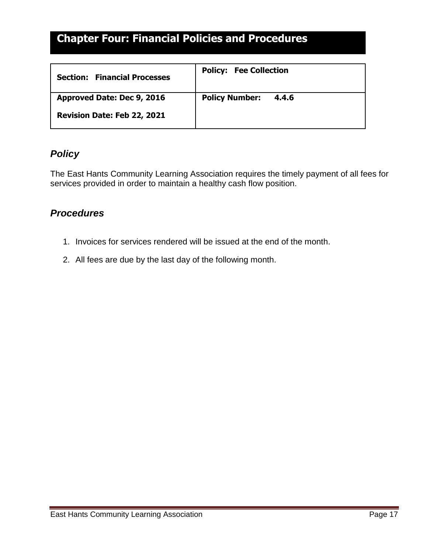<span id="page-16-1"></span><span id="page-16-0"></span>

| <b>Section: Financial Processes</b> | <b>Policy: Fee Collection</b>  |
|-------------------------------------|--------------------------------|
| Approved Date: Dec 9, 2016          | <b>Policy Number:</b><br>4.4.6 |
| Revision Date: Feb 22, 2021         |                                |

#### *Policy*

The East Hants Community Learning Association requires the timely payment of all fees for services provided in order to maintain a healthy cash flow position.

- 1. Invoices for services rendered will be issued at the end of the month.
- 2. All fees are due by the last day of the following month.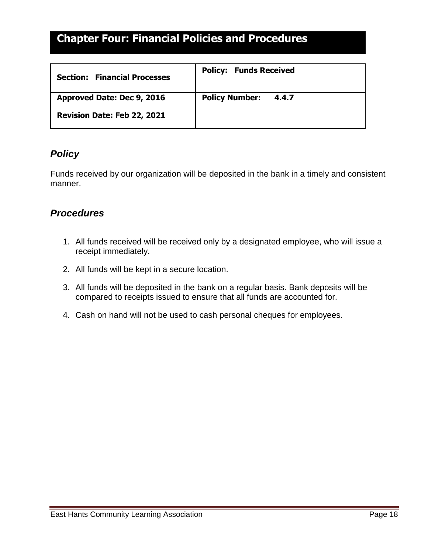<span id="page-17-1"></span><span id="page-17-0"></span>

| <b>Section: Financial Processes</b> | <b>Policy: Funds Received</b>  |
|-------------------------------------|--------------------------------|
| Approved Date: Dec 9, 2016          | <b>Policy Number:</b><br>4.4.7 |
| Revision Date: Feb 22, 2021         |                                |

### *Policy*

Funds received by our organization will be deposited in the bank in a timely and consistent manner.

- 1. All funds received will be received only by a designated employee, who will issue a receipt immediately.
- 2. All funds will be kept in a secure location.
- 3. All funds will be deposited in the bank on a regular basis. Bank deposits will be compared to receipts issued to ensure that all funds are accounted for.
- 4. Cash on hand will not be used to cash personal cheques for employees.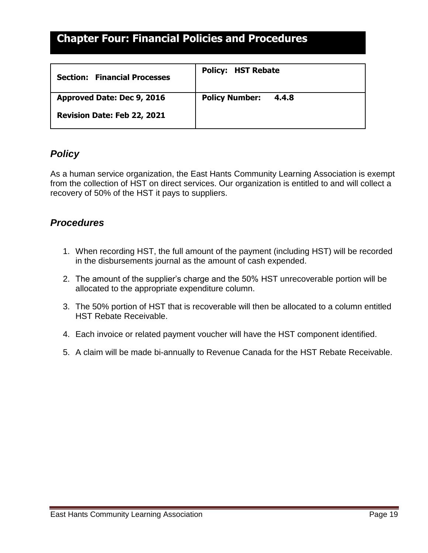<span id="page-18-1"></span><span id="page-18-0"></span>

| <b>Section: Financial Processes</b> | <b>Policy: HST Rebate</b>      |
|-------------------------------------|--------------------------------|
| Approved Date: Dec 9, 2016          | <b>Policy Number:</b><br>4.4.8 |
| Revision Date: Feb 22, 2021         |                                |

#### *Policy*

As a human service organization, the East Hants Community Learning Association is exempt from the collection of HST on direct services. Our organization is entitled to and will collect a recovery of 50% of the HST it pays to suppliers.

- 1. When recording HST, the full amount of the payment (including HST) will be recorded in the disbursements journal as the amount of cash expended.
- 2. The amount of the supplier's charge and the 50% HST unrecoverable portion will be allocated to the appropriate expenditure column.
- 3. The 50% portion of HST that is recoverable will then be allocated to a column entitled HST Rebate Receivable.
- 4. Each invoice or related payment voucher will have the HST component identified.
- 5. A claim will be made bi-annually to Revenue Canada for the HST Rebate Receivable.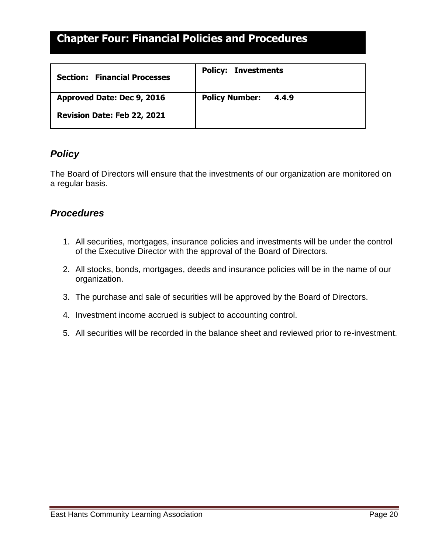<span id="page-19-1"></span><span id="page-19-0"></span>

| <b>Section: Financial Processes</b> | <b>Policy: Investments</b>     |
|-------------------------------------|--------------------------------|
| Approved Date: Dec 9, 2016          | <b>Policy Number:</b><br>4.4.9 |
| Revision Date: Feb 22, 2021         |                                |

#### *Policy*

The Board of Directors will ensure that the investments of our organization are monitored on a regular basis.

- 1. All securities, mortgages, insurance policies and investments will be under the control of the Executive Director with the approval of the Board of Directors.
- 2. All stocks, bonds, mortgages, deeds and insurance policies will be in the name of our organization.
- 3. The purchase and sale of securities will be approved by the Board of Directors.
- 4. Investment income accrued is subject to accounting control.
- 5. All securities will be recorded in the balance sheet and reviewed prior to re-investment.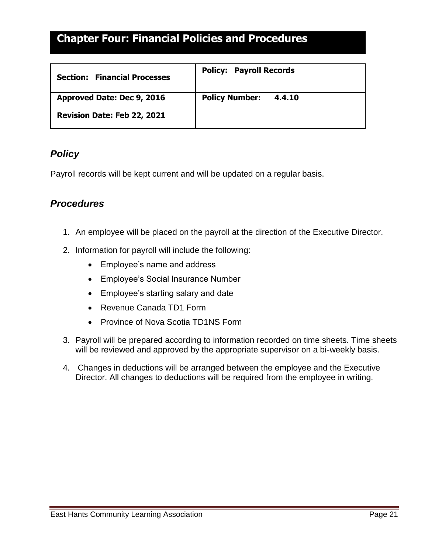<span id="page-20-1"></span><span id="page-20-0"></span>

| <b>Financial Processes</b><br><b>Section:</b> | <b>Policy: Payroll Records</b>  |
|-----------------------------------------------|---------------------------------|
| Approved Date: Dec 9, 2016                    | <b>Policy Number:</b><br>4.4.10 |
| Revision Date: Feb 22, 2021                   |                                 |

#### *Policy*

Payroll records will be kept current and will be updated on a regular basis.

- 1. An employee will be placed on the payroll at the direction of the Executive Director.
- 2. Information for payroll will include the following:
	- Employee's name and address
	- Employee's Social Insurance Number
	- Employee's starting salary and date
	- Revenue Canada TD1 Form
	- Province of Nova Scotia TD1NS Form
- 3. Payroll will be prepared according to information recorded on time sheets. Time sheets will be reviewed and approved by the appropriate supervisor on a bi-weekly basis.
- 4. Changes in deductions will be arranged between the employee and the Executive Director. All changes to deductions will be required from the employee in writing.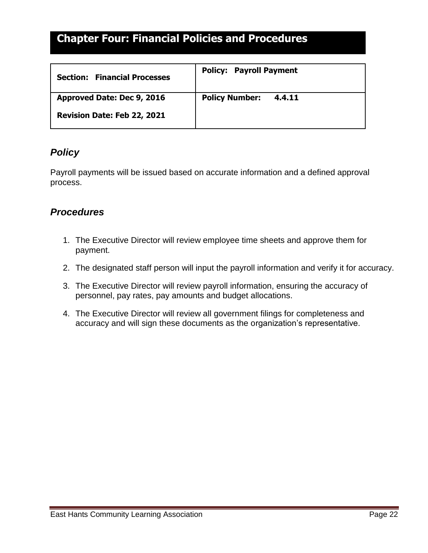<span id="page-21-1"></span><span id="page-21-0"></span>

| <b>Section: Financial Processes</b> | <b>Policy: Payroll Payment</b>  |
|-------------------------------------|---------------------------------|
| Approved Date: Dec 9, 2016          | <b>Policy Number:</b><br>4.4.11 |
| Revision Date: Feb 22, 2021         |                                 |

#### *Policy*

Payroll payments will be issued based on accurate information and a defined approval process.

- 1. The Executive Director will review employee time sheets and approve them for payment.
- 2. The designated staff person will input the payroll information and verify it for accuracy.
- 3. The Executive Director will review payroll information, ensuring the accuracy of personnel, pay rates, pay amounts and budget allocations.
- 4. The Executive Director will review all government filings for completeness and accuracy and will sign these documents as the organization's representative.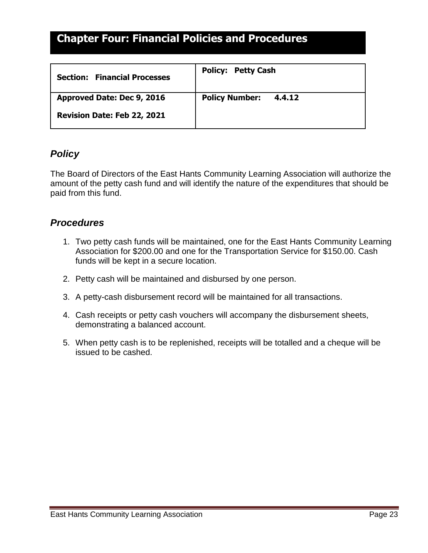<span id="page-22-1"></span><span id="page-22-0"></span>

| <b>Section: Financial Processes</b> | <b>Policy: Petty Cash</b>       |
|-------------------------------------|---------------------------------|
| Approved Date: Dec 9, 2016          | <b>Policy Number:</b><br>4.4.12 |
| Revision Date: Feb 22, 2021         |                                 |

#### *Policy*

The Board of Directors of the East Hants Community Learning Association will authorize the amount of the petty cash fund and will identify the nature of the expenditures that should be paid from this fund.

- 1. Two petty cash funds will be maintained, one for the East Hants Community Learning Association for \$200.00 and one for the Transportation Service for \$150.00. Cash funds will be kept in a secure location.
- 2. Petty cash will be maintained and disbursed by one person.
- 3. A petty-cash disbursement record will be maintained for all transactions.
- 4. Cash receipts or petty cash vouchers will accompany the disbursement sheets, demonstrating a balanced account.
- 5. When petty cash is to be replenished, receipts will be totalled and a cheque will be issued to be cashed.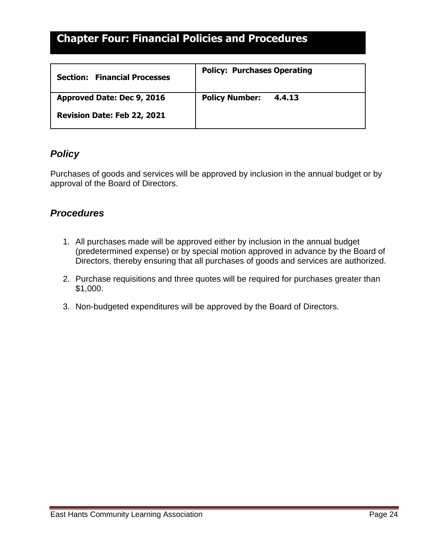<span id="page-23-1"></span><span id="page-23-0"></span>

| <b>Financial Processes</b><br><b>Section:</b> | <b>Policy: Purchases Operating</b> |
|-----------------------------------------------|------------------------------------|
| Approved Date: Dec 9, 2016                    | <b>Policy Number:</b><br>4.4.13    |
| Revision Date: Feb 22, 2021                   |                                    |

#### *Policy*

Purchases of goods and services will be approved by inclusion in the annual budget or by approval of the Board of Directors.

- 1. All purchases made will be approved either by inclusion in the annual budget (predetermined expense) or by special motion approved in advance by the Board of Directors, thereby ensuring that all purchases of goods and services are authorized.
- 2. Purchase requisitions and three quotes will be required for purchases greater than \$1,000.
- 3. Non-budgeted expenditures will be approved by the Board of Directors.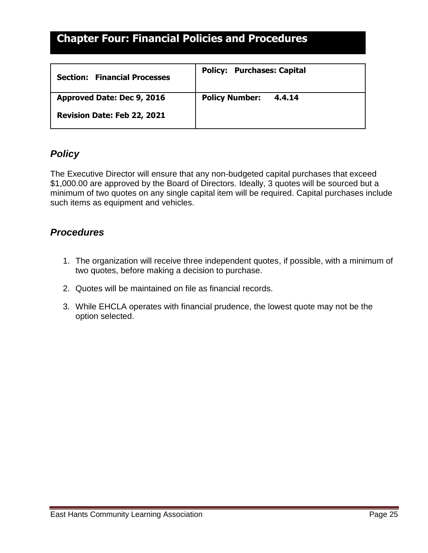<span id="page-24-1"></span><span id="page-24-0"></span>

| <b>Financial Processes</b><br><b>Section:</b> | <b>Policy: Purchases: Capital</b> |
|-----------------------------------------------|-----------------------------------|
| Approved Date: Dec 9, 2016                    | <b>Policy Number:</b><br>4.4.14   |
| Revision Date: Feb 22, 2021                   |                                   |

#### *Policy*

The Executive Director will ensure that any non-budgeted capital purchases that exceed \$1,000.00 are approved by the Board of Directors. Ideally, 3 quotes will be sourced but a minimum of two quotes on any single capital item will be required. Capital purchases include such items as equipment and vehicles.

- 1. The organization will receive three independent quotes, if possible, with a minimum of two quotes, before making a decision to purchase.
- 2. Quotes will be maintained on file as financial records.
- 3. While EHCLA operates with financial prudence, the lowest quote may not be the option selected.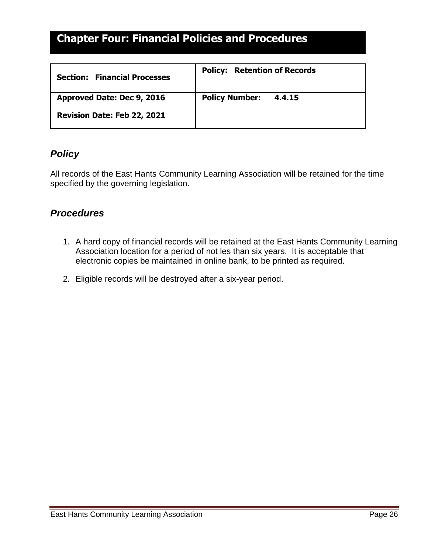<span id="page-25-1"></span><span id="page-25-0"></span>

| <b>Financial Processes</b><br><b>Section:</b> | <b>Policy: Retention of Records</b> |
|-----------------------------------------------|-------------------------------------|
| Approved Date: Dec 9, 2016                    | <b>Policy Number:</b><br>4.4.15     |
| Revision Date: Feb 22, 2021                   |                                     |

#### *Policy*

All records of the East Hants Community Learning Association will be retained for the time specified by the governing legislation.

- 1. A hard copy of financial records will be retained at the East Hants Community Learning Association location for a period of not les than six years. It is acceptable that electronic copies be maintained in online bank, to be printed as required.
- 2. Eligible records will be destroyed after a six-year period.